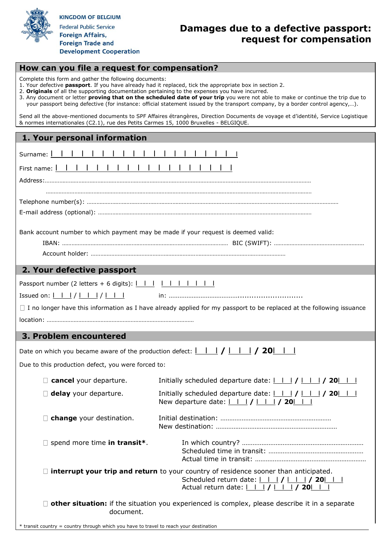

**KINGDOM OF BELGIUM Federal Public Service Foreign Affairs, Foreign Trade and Development Cooperation** 

## **Damages due to a defective passport: request for compensation**

## **How can you file a request for compensation?**

Complete this form and gather the following documents:

- 1. Your defective **passport**. If you have already had it replaced, tick the appropriate box in section 2.
- 2. **Originals** of all the supporting documentation pertaining to the expenses you have incurred.
- 3. Any document or letter **proving that on the scheduled date of your trip** you were not able to make or continue the trip due to your passport being defective (for instance: official statement issued by the transport company, by a border control agency,…).

Send all the above-mentioned documents to SPF Affaires étrangères, Direction Documents de voyage et d'identité, Service Logistique & normes internationales (C2.1), rue des Petits Carmes 15, 1000 Bruxelles - BELGIQUE.

## **1. Your personal information**

| Surname: I                                                                                                                                                                                                                                                                                                              |                                                                                                                                                                                                                                    |
|-------------------------------------------------------------------------------------------------------------------------------------------------------------------------------------------------------------------------------------------------------------------------------------------------------------------------|------------------------------------------------------------------------------------------------------------------------------------------------------------------------------------------------------------------------------------|
| First name: 1 1 1                                                                                                                                                                                                                                                                                                       |                                                                                                                                                                                                                                    |
|                                                                                                                                                                                                                                                                                                                         |                                                                                                                                                                                                                                    |
|                                                                                                                                                                                                                                                                                                                         |                                                                                                                                                                                                                                    |
|                                                                                                                                                                                                                                                                                                                         |                                                                                                                                                                                                                                    |
|                                                                                                                                                                                                                                                                                                                         |                                                                                                                                                                                                                                    |
| Bank account number to which payment may be made if your request is deemed valid:                                                                                                                                                                                                                                       |                                                                                                                                                                                                                                    |
|                                                                                                                                                                                                                                                                                                                         |                                                                                                                                                                                                                                    |
|                                                                                                                                                                                                                                                                                                                         |                                                                                                                                                                                                                                    |
|                                                                                                                                                                                                                                                                                                                         |                                                                                                                                                                                                                                    |
| 2. Your defective passport                                                                                                                                                                                                                                                                                              |                                                                                                                                                                                                                                    |
|                                                                                                                                                                                                                                                                                                                         |                                                                                                                                                                                                                                    |
| Issued on: $\left  \begin{array}{c c} 1 & 1 \end{array} \right $ / $\left  \begin{array}{c c} 1 & 1 \end{array} \right $                                                                                                                                                                                                |                                                                                                                                                                                                                                    |
| $\Box$ I no longer have this information as I have already applied for my passport to be replaced at the following issuance                                                                                                                                                                                             |                                                                                                                                                                                                                                    |
|                                                                                                                                                                                                                                                                                                                         |                                                                                                                                                                                                                                    |
| 3. Problem encountered                                                                                                                                                                                                                                                                                                  |                                                                                                                                                                                                                                    |
| Date on which you became aware of the production defect: $\underline{\begin{array}{c c} \bot & \bot & \bot \end{array}}$ / 20 $\underline{\begin{array}{c c} \bot & \bot \end{array}}$                                                                                                                                  |                                                                                                                                                                                                                                    |
| Due to this production defect, you were forced to:                                                                                                                                                                                                                                                                      |                                                                                                                                                                                                                                    |
| $\Box$ cancel your departure.                                                                                                                                                                                                                                                                                           | Initially scheduled departure date: $\underline{\begin{array}{c} \square \\ \square \end{array}}$ / $\underline{\begin{array}{c} \square \\ \square \end{array}}$ 20 $\underline{\begin{array}{c} \square \\ \square \end{array}}$ |
| $\Box$ delay your departure.                                                                                                                                                                                                                                                                                            | Initially scheduled departure date: $\begin{array}{c c c c c c} \hline \end{array}$ / $\begin{array}{c c c c} \hline \end{array}$ 1 1 1 1 1 20 1 1<br>New departure date: $1 \mid 1 \mid 1 \mid 1 \mid 20 \mid 1 \mid$             |
| change your destination.                                                                                                                                                                                                                                                                                                |                                                                                                                                                                                                                                    |
| $\Box$ spend more time in transit*.                                                                                                                                                                                                                                                                                     |                                                                                                                                                                                                                                    |
| $\Box$ interrupt your trip and return to your country of residence sooner than anticipated.<br>Scheduled return date: $1 + 1$ / $1 + 1$ / 20 1<br>Actual return date: $\underline{\hspace{1cm}}$ $\underline{\hspace{1cm}}$ / $\underline{\hspace{1cm}}$ / $\underline{\hspace{1cm}}$ / 20 $\underline{\hspace{1cm}}$ 1 |                                                                                                                                                                                                                                    |
| $\Box$ other situation: if the situation you experienced is complex, please describe it in a separate<br>document.                                                                                                                                                                                                      |                                                                                                                                                                                                                                    |